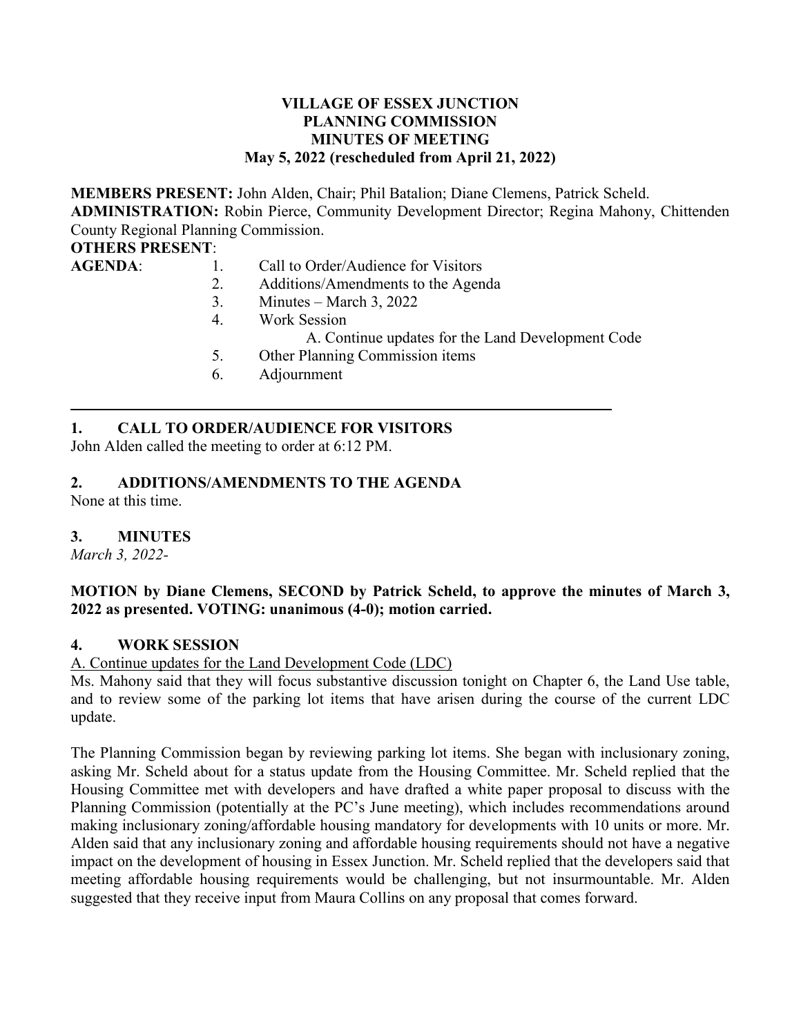### **VILLAGE OF ESSEX JUNCTION PLANNING COMMISSION MINUTES OF MEETING May 5, 2022 (rescheduled from April 21, 2022)**

**MEMBERS PRESENT:** John Alden, Chair; Phil Batalion; Diane Clemens, Patrick Scheld. **ADMINISTRATION:** Robin Pierce, Community Development Director; Regina Mahony, Chittenden County Regional Planning Commission.

#### **OTHERS PRESENT**:

AGENDA: 1. Call to Order/Audience for Visitors

- 2. Additions/Amendments to the Agenda
- 3. Minutes March 3, 2022
- 4. Work Session
	- A. Continue updates for the Land Development Code
- 5. Other Planning Commission items
- 6. Adjournment

# **1. CALL TO ORDER/AUDIENCE FOR VISITORS**

John Alden called the meeting to order at 6:12 PM.

# **2. ADDITIONS/AMENDMENTS TO THE AGENDA**

None at this time.

## **3. MINUTES**

*March 3, 2022-*

### **MOTION by Diane Clemens, SECOND by Patrick Scheld, to approve the minutes of March 3, 2022 as presented. VOTING: unanimous (4-0); motion carried.**

## **4. WORK SESSION**

A. Continue updates for the Land Development Code (LDC)

Ms. Mahony said that they will focus substantive discussion tonight on Chapter 6, the Land Use table, and to review some of the parking lot items that have arisen during the course of the current LDC update.

The Planning Commission began by reviewing parking lot items. She began with inclusionary zoning, asking Mr. Scheld about for a status update from the Housing Committee. Mr. Scheld replied that the Housing Committee met with developers and have drafted a white paper proposal to discuss with the Planning Commission (potentially at the PC's June meeting), which includes recommendations around making inclusionary zoning/affordable housing mandatory for developments with 10 units or more. Mr. Alden said that any inclusionary zoning and affordable housing requirements should not have a negative impact on the development of housing in Essex Junction. Mr. Scheld replied that the developers said that meeting affordable housing requirements would be challenging, but not insurmountable. Mr. Alden suggested that they receive input from Maura Collins on any proposal that comes forward.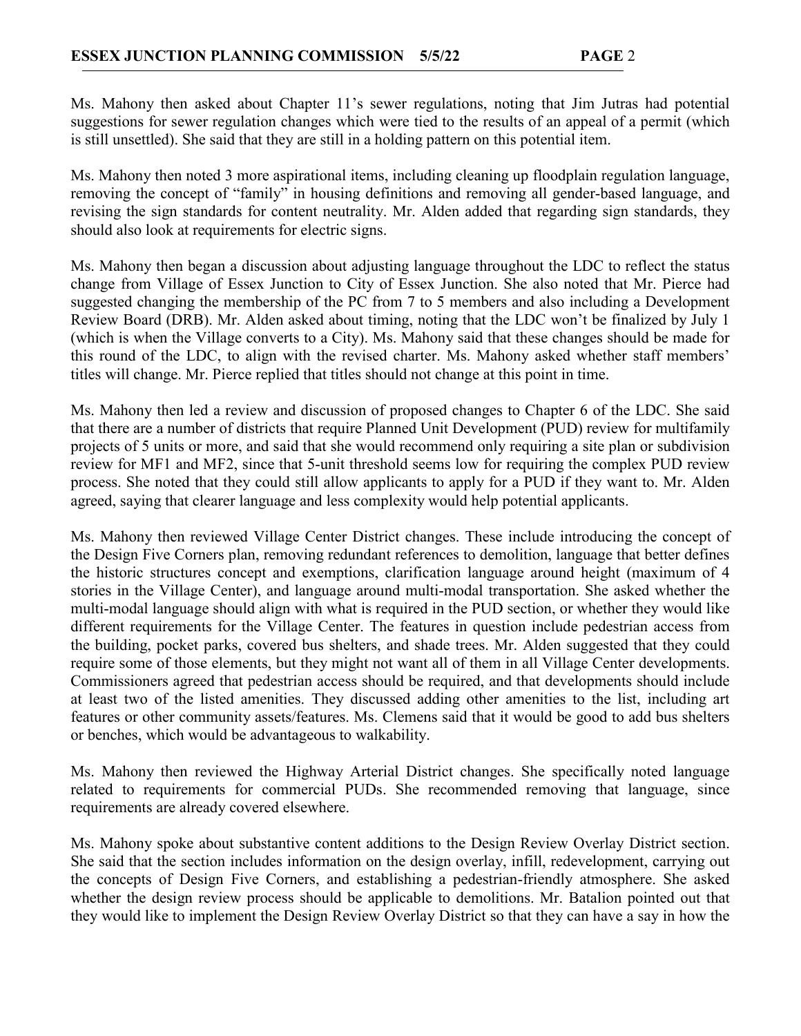Ms. Mahony then asked about Chapter 11's sewer regulations, noting that Jim Jutras had potential suggestions for sewer regulation changes which were tied to the results of an appeal of a permit (which is still unsettled). She said that they are still in a holding pattern on this potential item.

Ms. Mahony then noted 3 more aspirational items, including cleaning up floodplain regulation language, removing the concept of "family" in housing definitions and removing all gender-based language, and revising the sign standards for content neutrality. Mr. Alden added that regarding sign standards, they should also look at requirements for electric signs.

Ms. Mahony then began a discussion about adjusting language throughout the LDC to reflect the status change from Village of Essex Junction to City of Essex Junction. She also noted that Mr. Pierce had suggested changing the membership of the PC from 7 to 5 members and also including a Development Review Board (DRB). Mr. Alden asked about timing, noting that the LDC won't be finalized by July 1 (which is when the Village converts to a City). Ms. Mahony said that these changes should be made for this round of the LDC, to align with the revised charter. Ms. Mahony asked whether staff members' titles will change. Mr. Pierce replied that titles should not change at this point in time.

Ms. Mahony then led a review and discussion of proposed changes to Chapter 6 of the LDC. She said that there are a number of districts that require Planned Unit Development (PUD) review for multifamily projects of 5 units or more, and said that she would recommend only requiring a site plan or subdivision review for MF1 and MF2, since that 5-unit threshold seems low for requiring the complex PUD review process. She noted that they could still allow applicants to apply for a PUD if they want to. Mr. Alden agreed, saying that clearer language and less complexity would help potential applicants.

Ms. Mahony then reviewed Village Center District changes. These include introducing the concept of the Design Five Corners plan, removing redundant references to demolition, language that better defines the historic structures concept and exemptions, clarification language around height (maximum of 4 stories in the Village Center), and language around multi-modal transportation. She asked whether the multi-modal language should align with what is required in the PUD section, or whether they would like different requirements for the Village Center. The features in question include pedestrian access from the building, pocket parks, covered bus shelters, and shade trees. Mr. Alden suggested that they could require some of those elements, but they might not want all of them in all Village Center developments. Commissioners agreed that pedestrian access should be required, and that developments should include at least two of the listed amenities. They discussed adding other amenities to the list, including art features or other community assets/features. Ms. Clemens said that it would be good to add bus shelters or benches, which would be advantageous to walkability.

Ms. Mahony then reviewed the Highway Arterial District changes. She specifically noted language related to requirements for commercial PUDs. She recommended removing that language, since requirements are already covered elsewhere.

Ms. Mahony spoke about substantive content additions to the Design Review Overlay District section. She said that the section includes information on the design overlay, infill, redevelopment, carrying out the concepts of Design Five Corners, and establishing a pedestrian-friendly atmosphere. She asked whether the design review process should be applicable to demolitions. Mr. Batalion pointed out that they would like to implement the Design Review Overlay District so that they can have a say in how the